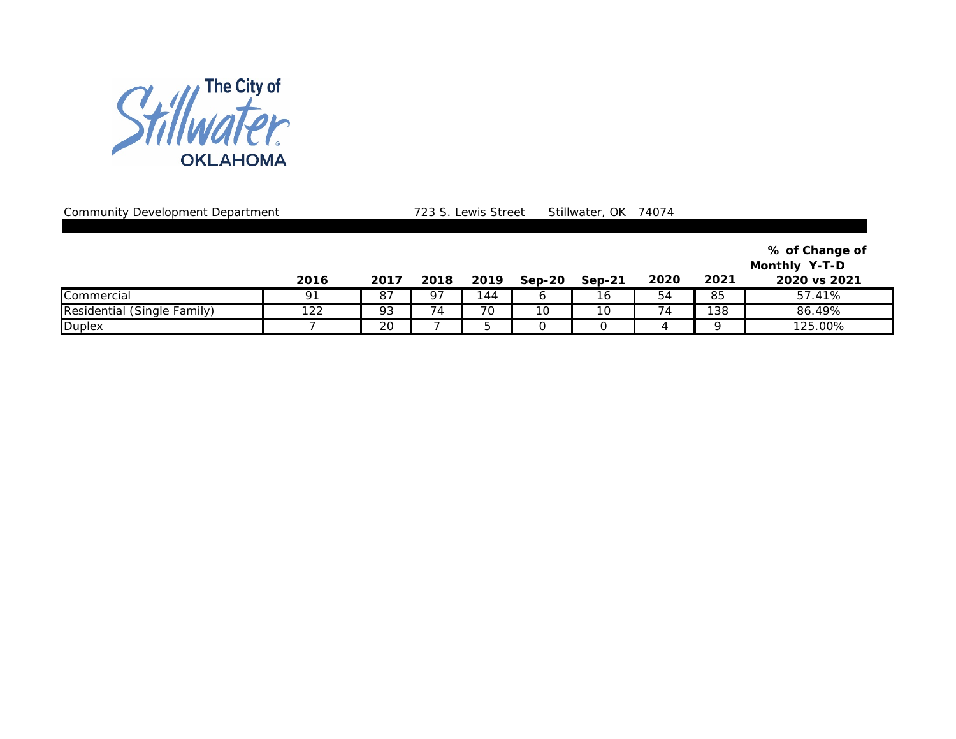

Community Development Department 1888 and Table 723 S. Lewis Street Stillwater, OK 74074

**% of Change of** 

**Monthly Y-T-D** 

|                                   | 2016           | 2017      | 2018              | 2019 | $Sep-20$ | $Sep-21$                       | 2020                | 2021 | 2020 vs 2021 |
|-----------------------------------|----------------|-----------|-------------------|------|----------|--------------------------------|---------------------|------|--------------|
| Commercial                        | O <sub>1</sub> | ົ<br>o,   | $Q^{\rightarrow}$ | 44   |          | $\overline{\phantom{a}}$<br>ıc | $ \cdot$<br>54      | 85   | .41%<br>57   |
| Residential<br>(Sinale<br>Family) | າລລ<br>ے ے ا   | o٦<br>ر 7 | P                 | 70   | ັ        | 10                             | -<br>$\overline{4}$ | 138  | 86.49%       |
| Duplex                            |                | 20        |                   |      |          |                                |                     |      | 125.00%      |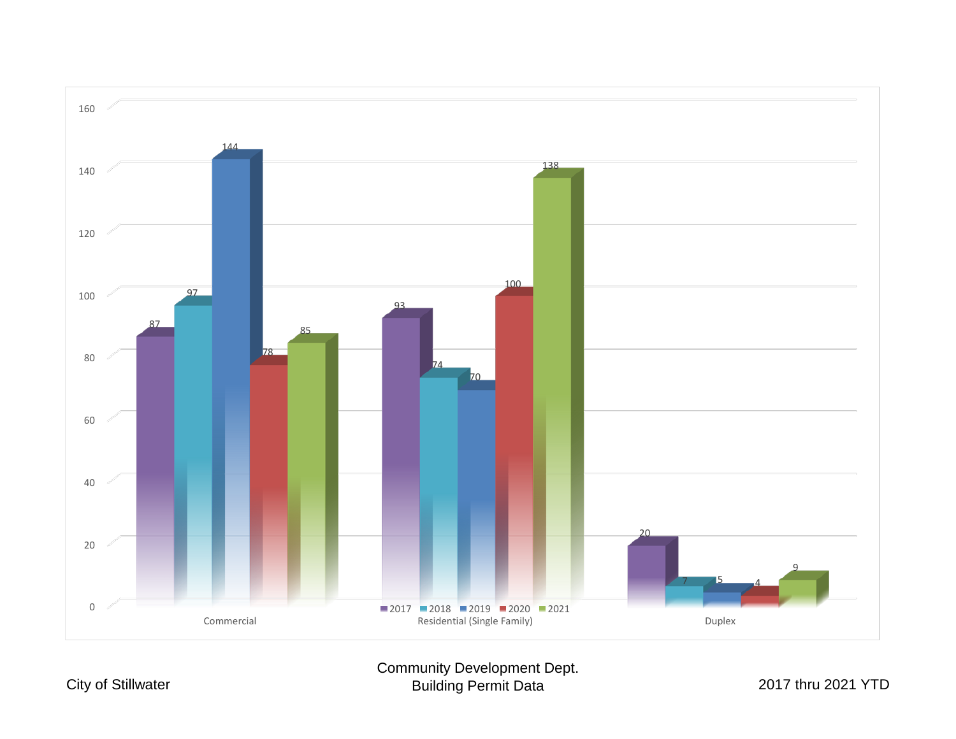

Community Development Dept. Building Permit Data 2017 thru 2021 YTD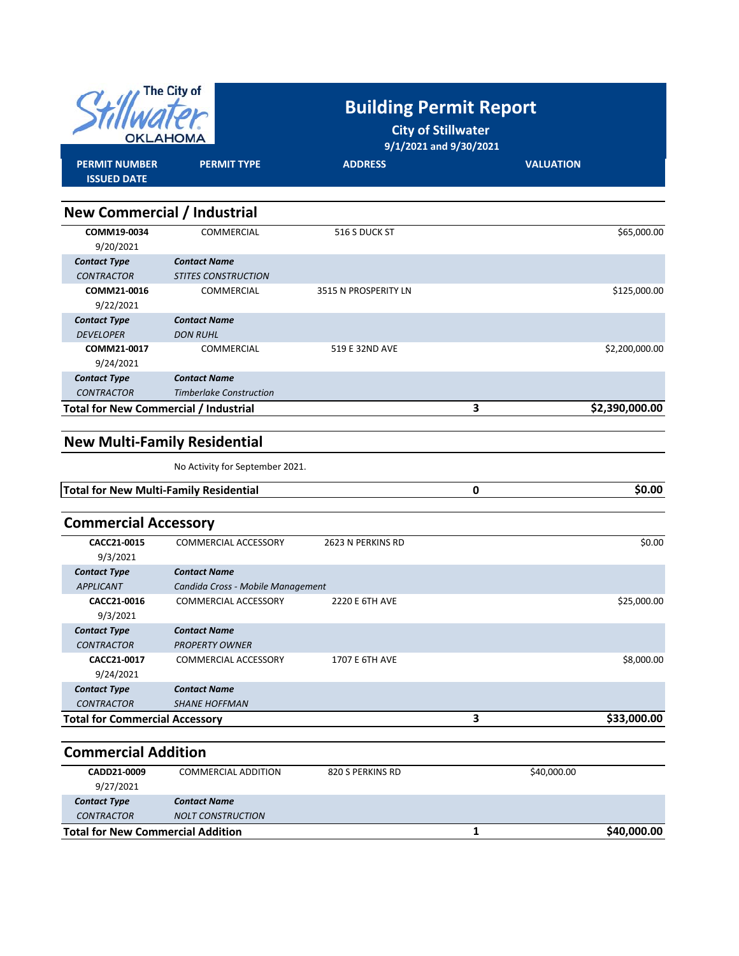|                                              | The City of<br>OKLAHOMA        | <b>Building Permit Report</b><br><b>City of Stillwater</b><br>9/1/2021 and 9/30/2021 |                     |
|----------------------------------------------|--------------------------------|--------------------------------------------------------------------------------------|---------------------|
| <b>PERMIT NUMBER</b><br><b>ISSUED DATE</b>   | <b>PERMIT TYPE</b>             | <b>ADDRESS</b>                                                                       | <b>VALUATION</b>    |
|                                              |                                |                                                                                      |                     |
| <b>New Commercial / Industrial</b>           |                                |                                                                                      |                     |
| COMM19-0034                                  | COMMERCIAL                     | 516 S DUCK ST                                                                        | \$65,000.00         |
| 9/20/2021                                    |                                |                                                                                      |                     |
| <b>Contact Type</b>                          | <b>Contact Name</b>            |                                                                                      |                     |
| <b>CONTRACTOR</b>                            | <b>STITES CONSTRUCTION</b>     |                                                                                      |                     |
| COMM21-0016                                  | COMMERCIAL                     | 3515 N PROSPERITY LN                                                                 | \$125,000.00        |
| 9/22/2021                                    |                                |                                                                                      |                     |
| <b>Contact Type</b>                          | <b>Contact Name</b>            |                                                                                      |                     |
| <b>DEVELOPER</b>                             | <b>DON RUHL</b>                |                                                                                      |                     |
| COMM21-0017                                  | COMMERCIAL                     | 519 E 32ND AVE                                                                       | \$2,200,000.00      |
| 9/24/2021                                    |                                |                                                                                      |                     |
| <b>Contact Type</b>                          | <b>Contact Name</b>            |                                                                                      |                     |
| <b>CONTRACTOR</b>                            | <b>Timberlake Construction</b> |                                                                                      |                     |
| <b>Total for New Commercial / Industrial</b> |                                |                                                                                      | 3<br>\$2,390,000.00 |
|                                              |                                |                                                                                      |                     |

### **New Multi‐Family Residential**

No Activity for September 2021.

| Total for New Multi-Family Residential | ,00<br>SO. |
|----------------------------------------|------------|
|                                        |            |

| <b>Commercial Accessory</b>             |                                                          |                   |   |             |
|-----------------------------------------|----------------------------------------------------------|-------------------|---|-------------|
| CACC21-0015<br>9/3/2021                 | <b>COMMERCIAL ACCESSORY</b>                              | 2623 N PERKINS RD |   | \$0.00      |
| <b>Contact Type</b><br><b>APPLICANT</b> | <b>Contact Name</b><br>Candida Cross - Mobile Management |                   |   |             |
| CACC21-0016<br>9/3/2021                 | <b>COMMERCIAL ACCESSORY</b>                              | 2220 E 6TH AVE    |   | \$25,000.00 |
| <b>Contact Type</b>                     | <b>Contact Name</b>                                      |                   |   |             |
| <b>CONTRACTOR</b>                       | <b>PROPERTY OWNER</b>                                    |                   |   |             |
| CACC21-0017<br>9/24/2021                | <b>COMMERCIAL ACCESSORY</b>                              | 1707 E 6TH AVE    |   | \$8,000.00  |
| <b>Contact Type</b>                     | <b>Contact Name</b>                                      |                   |   |             |
| <b>CONTRACTOR</b>                       | <b>SHANE HOFFMAN</b>                                     |                   |   |             |
| <b>Total for Commercial Accessory</b>   |                                                          |                   | 3 | \$33,000.00 |

#### **Commercial Addition**

| CADD21-0009                              | COMMERCIAL ADDITION      | 820 S PERKINS RD | \$40,000.00 |
|------------------------------------------|--------------------------|------------------|-------------|
| 9/27/2021                                |                          |                  |             |
| <b>Contact Type</b>                      | <b>Contact Name</b>      |                  |             |
| <b>CONTRACTOR</b>                        | <b>NOLT CONSTRUCTION</b> |                  |             |
| <b>Total for New Commercial Addition</b> |                          |                  | \$40,000.00 |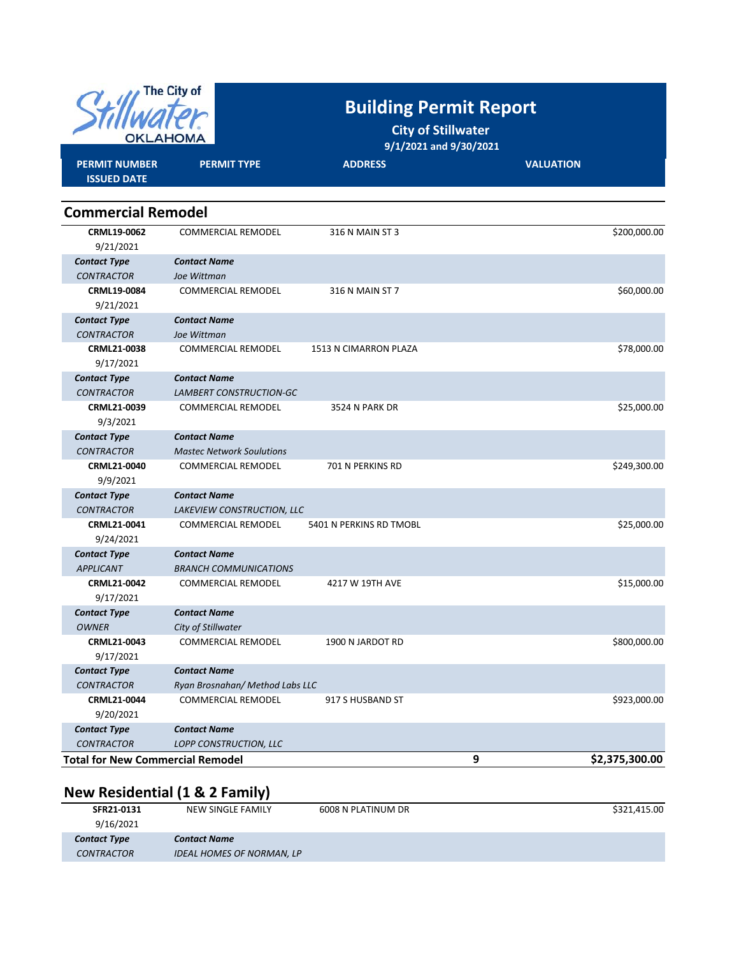

# **Building Permit Report**

**City of Stillwater 9/1/2021 and 9/30/2021**

| <b>PERMIT NUMBER</b><br><b>ISSUED DATE</b> | <b>PERMIT TYPE</b>               | <b>ADDRESS</b>          | <b>VALUATION</b> |                |
|--------------------------------------------|----------------------------------|-------------------------|------------------|----------------|
| <b>Commercial Remodel</b>                  |                                  |                         |                  |                |
| CRML19-0062                                | <b>COMMERCIAL REMODEL</b>        | 316 N MAIN ST 3         |                  | \$200,000.00   |
| 9/21/2021                                  |                                  |                         |                  |                |
| <b>Contact Type</b>                        | <b>Contact Name</b>              |                         |                  |                |
| <b>CONTRACTOR</b>                          | Joe Wittman                      |                         |                  |                |
| CRML19-0084                                | <b>COMMERCIAL REMODEL</b>        | 316 N MAIN ST 7         |                  | \$60,000.00    |
| 9/21/2021                                  |                                  |                         |                  |                |
| <b>Contact Type</b>                        | <b>Contact Name</b>              |                         |                  |                |
| <b>CONTRACTOR</b>                          | Joe Wittman                      |                         |                  |                |
| <b>CRML21-0038</b>                         | <b>COMMERCIAL REMODEL</b>        | 1513 N CIMARRON PLAZA   |                  | \$78,000.00    |
| 9/17/2021                                  |                                  |                         |                  |                |
| <b>Contact Type</b>                        | <b>Contact Name</b>              |                         |                  |                |
| <b>CONTRACTOR</b>                          | LAMBERT CONSTRUCTION-GC          |                         |                  |                |
| CRML21-0039                                | <b>COMMERCIAL REMODEL</b>        | 3524 N PARK DR          |                  | \$25,000.00    |
| 9/3/2021                                   |                                  |                         |                  |                |
| <b>Contact Type</b>                        | <b>Contact Name</b>              |                         |                  |                |
| <b>CONTRACTOR</b>                          | <b>Mastec Network Soulutions</b> |                         |                  |                |
| CRML21-0040                                | <b>COMMERCIAL REMODEL</b>        | 701 N PERKINS RD        |                  | \$249,300.00   |
| 9/9/2021                                   |                                  |                         |                  |                |
| <b>Contact Type</b>                        | <b>Contact Name</b>              |                         |                  |                |
| <b>CONTRACTOR</b>                          | LAKEVIEW CONSTRUCTION, LLC       |                         |                  |                |
| CRML21-0041                                | COMMERCIAL REMODEL               | 5401 N PERKINS RD TMOBL |                  | \$25,000.00    |
| 9/24/2021                                  |                                  |                         |                  |                |
| <b>Contact Type</b>                        | <b>Contact Name</b>              |                         |                  |                |
| <b>APPLICANT</b>                           | <b>BRANCH COMMUNICATIONS</b>     |                         |                  |                |
| CRML21-0042                                | COMMERCIAL REMODEL               | 4217 W 19TH AVE         |                  | \$15,000.00    |
| 9/17/2021                                  |                                  |                         |                  |                |
| <b>Contact Type</b>                        | <b>Contact Name</b>              |                         |                  |                |
| <b>OWNER</b>                               | City of Stillwater               |                         |                  |                |
| CRML21-0043                                | <b>COMMERCIAL REMODEL</b>        | 1900 N JARDOT RD        |                  | \$800,000.00   |
| 9/17/2021                                  |                                  |                         |                  |                |
| <b>Contact Type</b>                        | <b>Contact Name</b>              |                         |                  |                |
| <b>CONTRACTOR</b>                          | Ryan Brosnahan/Method Labs LLC   |                         |                  |                |
| CRML21-0044                                | <b>COMMERCIAL REMODEL</b>        | 917 S HUSBAND ST        |                  | \$923,000.00   |
| 9/20/2021                                  |                                  |                         |                  |                |
| <b>Contact Type</b>                        | <b>Contact Name</b>              |                         |                  |                |
| <b>CONTRACTOR</b>                          | LOPP CONSTRUCTION, LLC           |                         |                  |                |
| <b>Total for New Commercial Remodel</b>    |                                  |                         | 9                | \$2,375,300.00 |

## **New Residential (1 & 2 Family)**

| SFR21-0131          | NEW SINGLE FAMILY                | 6008 N PLATINUM DR | \$321.415.00 |
|---------------------|----------------------------------|--------------------|--------------|
| 9/16/2021           |                                  |                    |              |
| <b>Contact Type</b> | <b>Contact Name</b>              |                    |              |
| <b>CONTRACTOR</b>   | <b>IDEAL HOMES OF NORMAN, LP</b> |                    |              |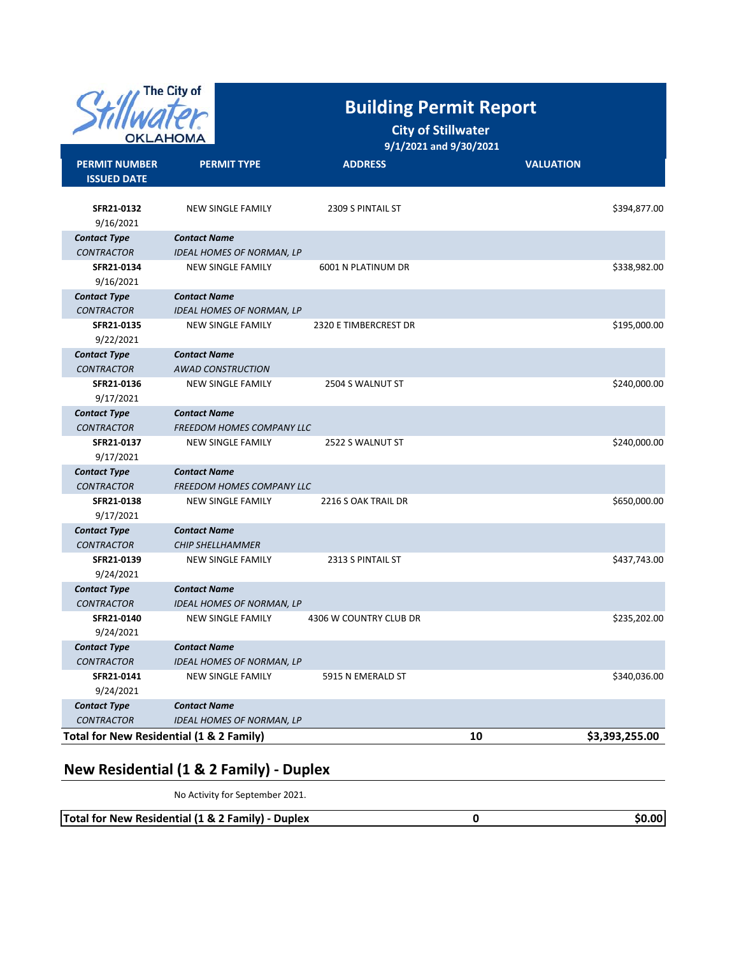

## **Building Permit Report**

## **City of Stillwater**

 **9/1/2021 and 9/30/2021**

| <b>PERMIT NUMBER</b><br><b>ISSUED DATE</b> | <b>PERMIT TYPE</b>               | <b>ADDRESS</b>         | <b>VALUATION</b> |                |
|--------------------------------------------|----------------------------------|------------------------|------------------|----------------|
| SFR21-0132<br>9/16/2021                    | <b>NEW SINGLE FAMILY</b>         | 2309 S PINTAIL ST      |                  | \$394,877.00   |
| <b>Contact Type</b>                        | <b>Contact Name</b>              |                        |                  |                |
| <b>CONTRACTOR</b>                          | <b>IDEAL HOMES OF NORMAN, LP</b> |                        |                  |                |
| SFR21-0134<br>9/16/2021                    | <b>NEW SINGLE FAMILY</b>         | 6001 N PLATINUM DR     |                  | \$338,982.00   |
| <b>Contact Type</b>                        | <b>Contact Name</b>              |                        |                  |                |
| <b>CONTRACTOR</b>                          | <b>IDEAL HOMES OF NORMAN, LP</b> |                        |                  |                |
| SFR21-0135<br>9/22/2021                    | <b>NEW SINGLE FAMILY</b>         | 2320 E TIMBERCREST DR  |                  | \$195,000.00   |
| <b>Contact Type</b>                        | <b>Contact Name</b>              |                        |                  |                |
| <b>CONTRACTOR</b>                          | <b>AWAD CONSTRUCTION</b>         |                        |                  |                |
| SFR21-0136<br>9/17/2021                    | NEW SINGLE FAMILY                | 2504 S WALNUT ST       |                  | \$240,000.00   |
| <b>Contact Type</b>                        | <b>Contact Name</b>              |                        |                  |                |
| <b>CONTRACTOR</b>                          | FREEDOM HOMES COMPANY LLC        |                        |                  |                |
| SFR21-0137<br>9/17/2021                    | <b>NEW SINGLE FAMILY</b>         | 2522 S WALNUT ST       |                  | \$240,000.00   |
| <b>Contact Type</b>                        | <b>Contact Name</b>              |                        |                  |                |
| <b>CONTRACTOR</b>                          | <b>FREEDOM HOMES COMPANY LLC</b> |                        |                  |                |
| SFR21-0138<br>9/17/2021                    | <b>NEW SINGLE FAMILY</b>         | 2216 S OAK TRAIL DR    |                  | \$650,000.00   |
| <b>Contact Type</b>                        | <b>Contact Name</b>              |                        |                  |                |
| <b>CONTRACTOR</b>                          | <b>CHIP SHELLHAMMER</b>          |                        |                  |                |
| SFR21-0139<br>9/24/2021                    | NEW SINGLE FAMILY                | 2313 S PINTAIL ST      |                  | \$437,743.00   |
| <b>Contact Type</b>                        | <b>Contact Name</b>              |                        |                  |                |
| <b>CONTRACTOR</b>                          | <b>IDEAL HOMES OF NORMAN, LP</b> |                        |                  |                |
| SFR21-0140<br>9/24/2021                    | <b>NEW SINGLE FAMILY</b>         | 4306 W COUNTRY CLUB DR |                  | \$235,202.00   |
| <b>Contact Type</b>                        | <b>Contact Name</b>              |                        |                  |                |
| <b>CONTRACTOR</b>                          | <b>IDEAL HOMES OF NORMAN, LP</b> |                        |                  |                |
| SFR21-0141                                 | <b>NEW SINGLE FAMILY</b>         | 5915 N EMERALD ST      |                  | \$340,036.00   |
| 9/24/2021                                  |                                  |                        |                  |                |
| <b>Contact Type</b>                        | <b>Contact Name</b>              |                        |                  |                |
| <b>CONTRACTOR</b>                          | <b>IDEAL HOMES OF NORMAN, LP</b> |                        |                  |                |
| Total for New Residential (1 & 2 Family)   |                                  |                        | 10               | \$3,393,255.00 |
|                                            |                                  |                        |                  |                |

### **New Residential (1 & 2 Family) ‐ Duplex**

No Activity for September 2021.